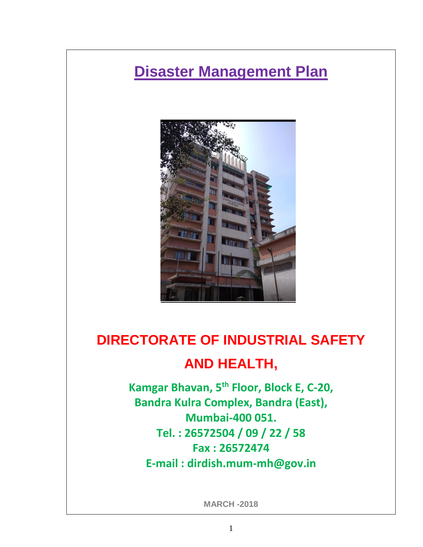# **Disaster Management Plan**



# **DIRECTORATE OF INDUSTRIAL SAFETY AND HEALTH,**

**Kamgar Bhavan, 5th Floor, Block E, C-20, Bandra Kulra Complex, Bandra (East), Mumbai-400 051. Tel. : 26572504 / 09 / 22 / 58 Fax : 26572474 E-mail : dirdish.mum-mh@gov.in**

**MARCH -2018**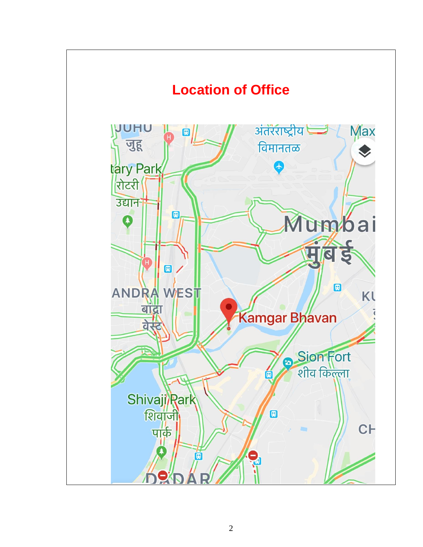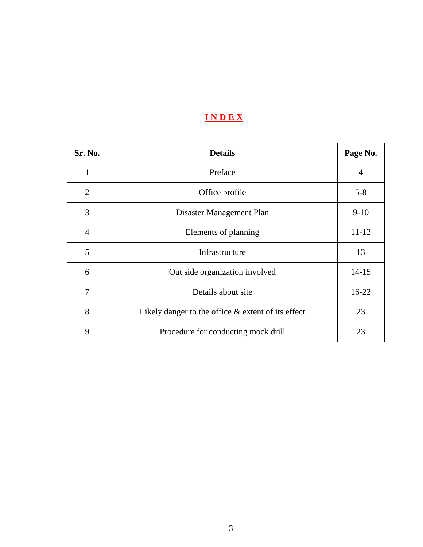# **I N D E X**

| Sr. No.        | <b>Details</b>                                        | Page No.  |
|----------------|-------------------------------------------------------|-----------|
| 1              | Preface                                               | 4         |
| $\overline{2}$ | Office profile                                        | $5 - 8$   |
| 3              | Disaster Management Plan                              | $9-10$    |
| $\overline{4}$ | Elements of planning                                  | $11 - 12$ |
| 5              | Infrastructure                                        | 13        |
| 6              | Out side organization involved                        | $14 - 15$ |
| 7              | Details about site                                    | $16-22$   |
| 8              | Likely danger to the office $\&$ extent of its effect | 23        |
| 9              | Procedure for conducting mock drill                   | 23        |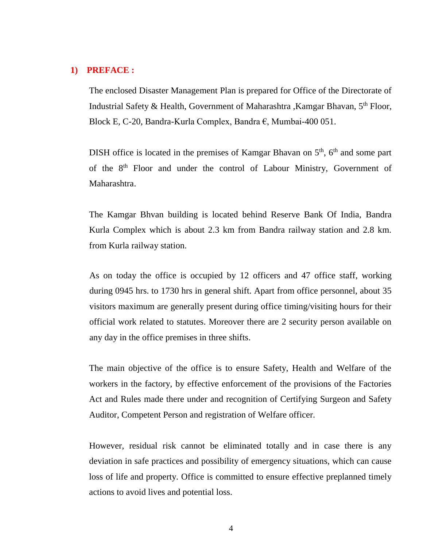### **1) PREFACE :**

The enclosed Disaster Management Plan is prepared for Office of the Directorate of Industrial Safety & Health, Government of Maharashtra ,Kamgar Bhavan, 5th Floor, Block E, C-20, Bandra-Kurla Complex, Bandra €, Mumbai-400 051.

DISH office is located in the premises of Kamgar Bhavan on  $5<sup>th</sup>$ , 6<sup>th</sup> and some part of the 8<sup>th</sup> Floor and under the control of Labour Ministry, Government of Maharashtra.

The Kamgar Bhvan building is located behind Reserve Bank Of India, Bandra Kurla Complex which is about 2.3 km from Bandra railway station and 2.8 km. from Kurla railway station.

As on today the office is occupied by 12 officers and 47 office staff, working during 0945 hrs. to 1730 hrs in general shift. Apart from office personnel, about 35 visitors maximum are generally present during office timing/visiting hours for their official work related to statutes. Moreover there are 2 security person available on any day in the office premises in three shifts.

The main objective of the office is to ensure Safety, Health and Welfare of the workers in the factory, by effective enforcement of the provisions of the Factories Act and Rules made there under and recognition of Certifying Surgeon and Safety Auditor, Competent Person and registration of Welfare officer.

However, residual risk cannot be eliminated totally and in case there is any deviation in safe practices and possibility of emergency situations, which can cause loss of life and property. Office is committed to ensure effective preplanned timely actions to avoid lives and potential loss.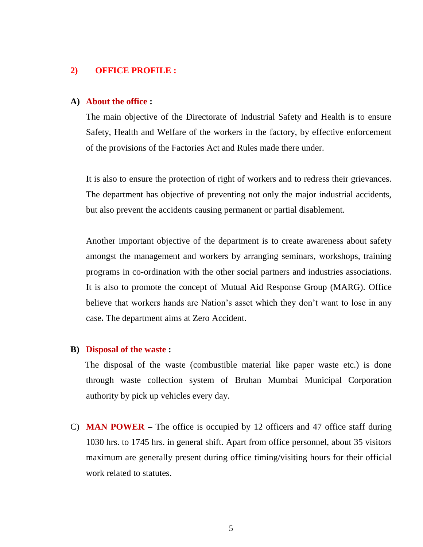#### **2) OFFICE PROFILE :**

#### **A) About the office :**

The main objective of the Directorate of Industrial Safety and Health is to ensure Safety, Health and Welfare of the workers in the factory, by effective enforcement of the provisions of the Factories Act and Rules made there under.

It is also to ensure the protection of right of workers and to redress their grievances. The department has objective of preventing not only the major industrial accidents, but also prevent the accidents causing permanent or partial disablement.

Another important objective of the department is to create awareness about safety amongst the management and workers by arranging seminars, workshops, training programs in co-ordination with the other social partners and industries associations. It is also to promote the concept of Mutual Aid Response Group (MARG). Office believe that workers hands are Nation's asset which they don't want to lose in any case**.** The department aims at Zero Accident.

#### **B) Disposal of the waste :**

The disposal of the waste (combustible material like paper waste etc.) is done through waste collection system of Bruhan Mumbai Municipal Corporation authority by pick up vehicles every day.

C) **MAN POWER –** The office is occupied by 12 officers and 47 office staff during 1030 hrs. to 1745 hrs. in general shift. Apart from office personnel, about 35 visitors maximum are generally present during office timing/visiting hours for their official work related to statutes.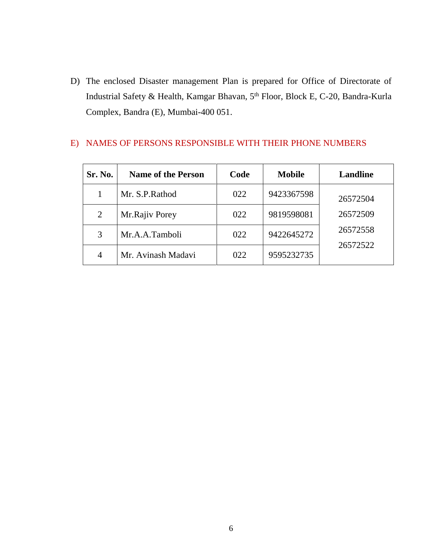D) The enclosed Disaster management Plan is prepared for Office of Directorate of Industrial Safety & Health, Kamgar Bhavan, 5th Floor, Block E, C-20, Bandra-Kurla Complex, Bandra (E), Mumbai-400 051.

| Sr. No.        | <b>Name of the Person</b> | Code | <b>Mobile</b> | <b>Landline</b> |
|----------------|---------------------------|------|---------------|-----------------|
|                | Mr. S.P. Rathod           | 022  | 9423367598    | 26572504        |
| $\overline{2}$ | Mr.Rajiv Porey            | 022  | 9819598081    | 26572509        |
| 3              | Mr.A.A.Tamboli            | 022  | 9422645272    | 26572558        |
| $\overline{4}$ | Mr. Avinash Madavi        | 022  | 9595232735    | 26572522        |

### E) NAMES OF PERSONS RESPONSIBLE WITH THEIR PHONE NUMBERS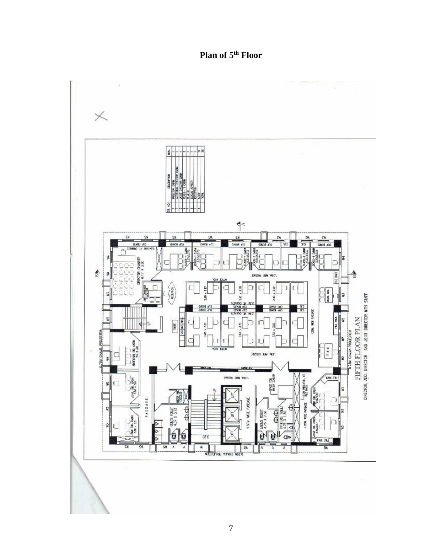**Plan of 5th Floor**

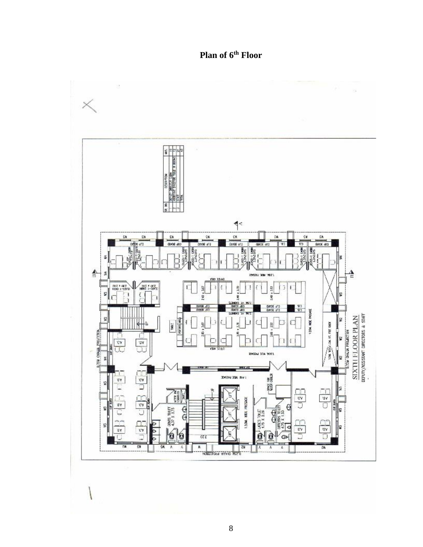**Plan of 6th Floor**

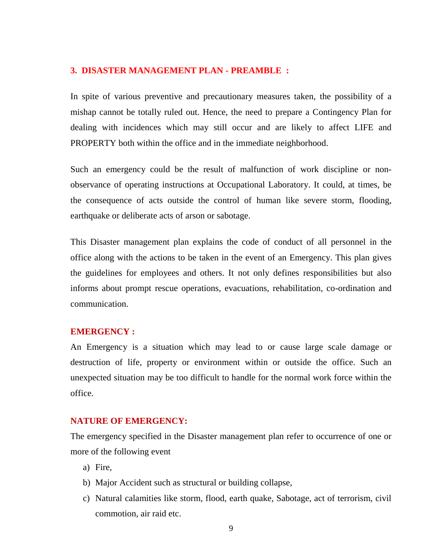#### **3. DISASTER MANAGEMENT PLAN - PREAMBLE :**

In spite of various preventive and precautionary measures taken, the possibility of a mishap cannot be totally ruled out. Hence, the need to prepare a Contingency Plan for dealing with incidences which may still occur and are likely to affect LIFE and PROPERTY both within the office and in the immediate neighborhood.

Such an emergency could be the result of malfunction of work discipline or nonobservance of operating instructions at Occupational Laboratory. It could, at times, be the consequence of acts outside the control of human like severe storm, flooding, earthquake or deliberate acts of arson or sabotage.

This Disaster management plan explains the code of conduct of all personnel in the office along with the actions to be taken in the event of an Emergency. This plan gives the guidelines for employees and others. It not only defines responsibilities but also informs about prompt rescue operations, evacuations, rehabilitation, co-ordination and communication.

### **EMERGENCY :**

An Emergency is a situation which may lead to or cause large scale damage or destruction of life, property or environment within or outside the office. Such an unexpected situation may be too difficult to handle for the normal work force within the office.

### **NATURE OF EMERGENCY:**

The emergency specified in the Disaster management plan refer to occurrence of one or more of the following event

- a) Fire,
- b) Major Accident such as structural or building collapse,
- c) Natural calamities like storm, flood, earth quake, Sabotage, act of terrorism, civil commotion, air raid etc.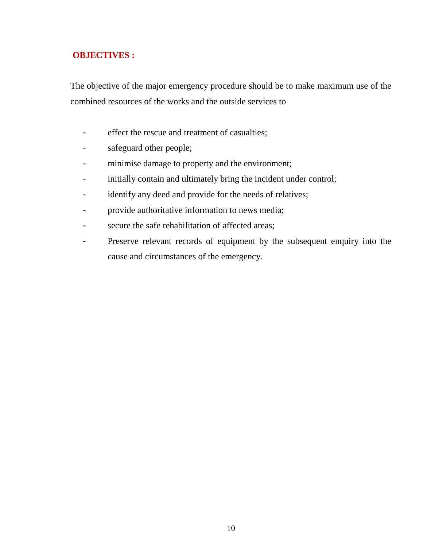# **OBJECTIVES :**

The objective of the major emergency procedure should be to make maximum use of the combined resources of the works and the outside services to

- effect the rescue and treatment of casualties;
- safeguard other people;
- minimise damage to property and the environment;
- initially contain and ultimately bring the incident under control;
- identify any deed and provide for the needs of relatives;
- provide authoritative information to news media;
- secure the safe rehabilitation of affected areas;
- Preserve relevant records of equipment by the subsequent enquiry into the cause and circumstances of the emergency.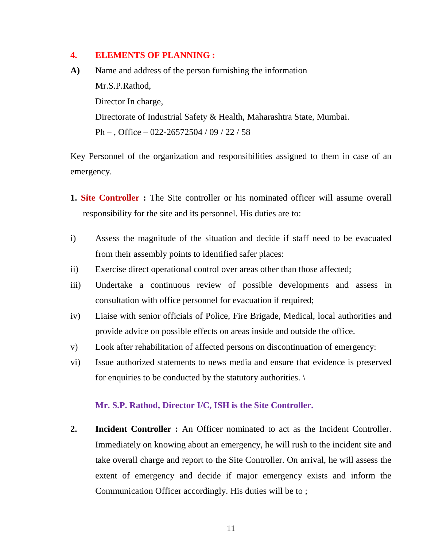### **4. ELEMENTS OF PLANNING :**

**A)** Name and address of the person furnishing the information Mr.S.P.Rathod, Director In charge, Directorate of Industrial Safety & Health, Maharashtra State, Mumbai. Ph – , Office – 022-26572504 / 09 / 22 / 58

Key Personnel of the organization and responsibilities assigned to them in case of an emergency.

- **1. Site Controller :** The Site controller or his nominated officer will assume overall responsibility for the site and its personnel. His duties are to:
- i) Assess the magnitude of the situation and decide if staff need to be evacuated from their assembly points to identified safer places:
- ii) Exercise direct operational control over areas other than those affected;
- iii) Undertake a continuous review of possible developments and assess in consultation with office personnel for evacuation if required;
- iv) Liaise with senior officials of Police, Fire Brigade, Medical, local authorities and provide advice on possible effects on areas inside and outside the office.
- v) Look after rehabilitation of affected persons on discontinuation of emergency:
- vi) Issue authorized statements to news media and ensure that evidence is preserved for enquiries to be conducted by the statutory authorities.

### **Mr. S.P. Rathod, Director I/C, ISH is the Site Controller.**

**2. Incident Controller :** An Officer nominated to act as the Incident Controller. Immediately on knowing about an emergency, he will rush to the incident site and take overall charge and report to the Site Controller. On arrival, he will assess the extent of emergency and decide if major emergency exists and inform the Communication Officer accordingly. His duties will be to ;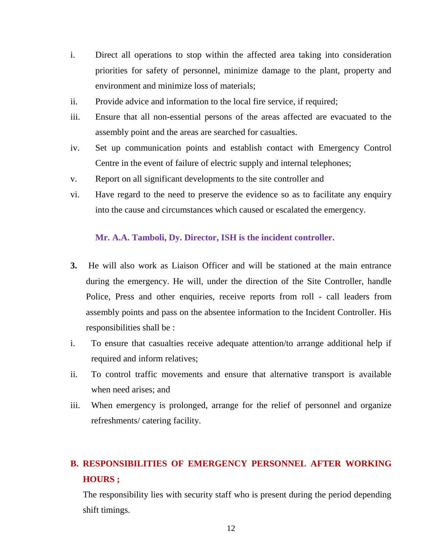- i. Direct all operations to stop within the affected area taking into consideration priorities for safety of personnel, minimize damage to the plant, property and environment and minimize loss of materials;
- ii. Provide advice and information to the local fire service, if required;
- iii. Ensure that all non-essential persons of the areas affected are evacuated to the assembly point and the areas are searched for casualties.
- iv. Set up communication points and establish contact with Emergency Control Centre in the event of failure of electric supply and internal telephones;
- v. Report on all significant developments to the site controller and
- vi. Have regard to the need to preserve the evidence so as to facilitate any enquiry into the cause and circumstances which caused or escalated the emergency.

### **Mr. A.A. Tamboli, Dy. Director, ISH is the incident controller.**

- **3.** He will also work as Liaison Officer and will be stationed at the main entrance during the emergency. He will, under the direction of the Site Controller, handle Police, Press and other enquiries, receive reports from roll - call leaders from assembly points and pass on the absentee information to the Incident Controller. His responsibilities shall be :
- i. To ensure that casualties receive adequate attention/to arrange additional help if required and inform relatives;
- ii. To control traffic movements and ensure that alternative transport is available when need arises; and
- iii. When emergency is prolonged, arrange for the relief of personnel and organize refreshments/ catering facility.

# **B. RESPONSIBILITIES OF EMERGENCY PERSONNEL AFTER WORKING HOURS ;**

The responsibility lies with security staff who is present during the period depending shift timings.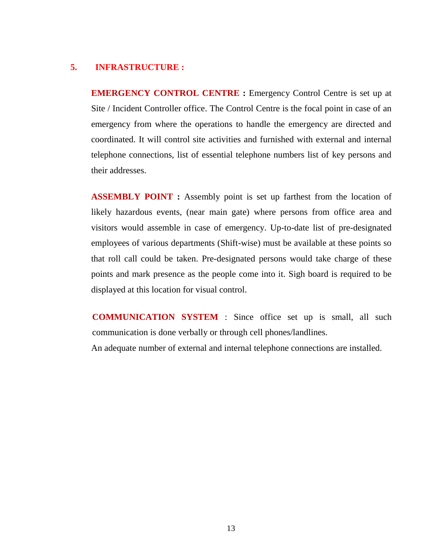### **5. INFRASTRUCTURE :**

**EMERGENCY CONTROL CENTRE :** Emergency Control Centre is set up at Site / Incident Controller office. The Control Centre is the focal point in case of an emergency from where the operations to handle the emergency are directed and coordinated. It will control site activities and furnished with external and internal telephone connections, list of essential telephone numbers list of key persons and their addresses.

**ASSEMBLY POINT :** Assembly point is set up farthest from the location of likely hazardous events, (near main gate) where persons from office area and visitors would assemble in case of emergency. Up-to-date list of pre-designated employees of various departments (Shift-wise) must be available at these points so that roll call could be taken. Pre-designated persons would take charge of these points and mark presence as the people come into it. Sigh board is required to be displayed at this location for visual control.

**COMMUNICATION SYSTEM** : Since office set up is small, all such communication is done verbally or through cell phones/landlines.

An adequate number of external and internal telephone connections are installed.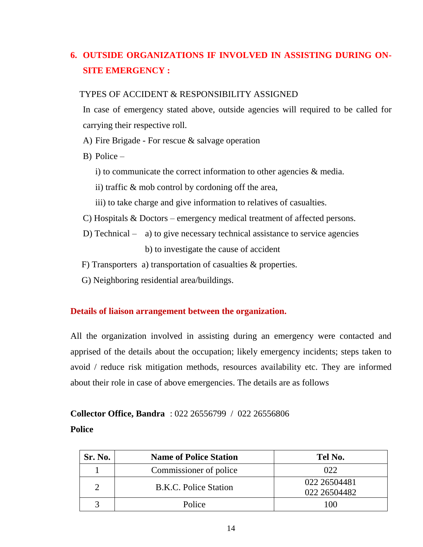# **6. OUTSIDE ORGANIZATIONS IF INVOLVED IN ASSISTING DURING ON-SITE EMERGENCY :**

### TYPES OF ACCIDENT & RESPONSIBILITY ASSIGNED

In case of emergency stated above, outside agencies will required to be called for carrying their respective roll.

- A) Fire Brigade For rescue & salvage operation
- B) Police
	- i) to communicate the correct information to other agencies & media.
	- ii) traffic & mob control by cordoning off the area,
	- iii) to take charge and give information to relatives of casualties.
- C) Hospitals & Doctors emergency medical treatment of affected persons.
- D) Technical a) to give necessary technical assistance to service agencies b) to investigate the cause of accident
- F) Transporters a) transportation of casualties & properties.
- G) Neighboring residential area/buildings.

### **Details of liaison arrangement between the organization.**

All the organization involved in assisting during an emergency were contacted and apprised of the details about the occupation; likely emergency incidents; steps taken to avoid / reduce risk mitigation methods, resources availability etc. They are informed about their role in case of above emergencies. The details are as follows

# **Collector Office, Bandra** : 022 26556799 / 022 26556806 **Police**

| Sr. No. | <b>Name of Police Station</b> | Tel No.      |
|---------|-------------------------------|--------------|
|         | Commissioner of police        | 022          |
|         | <b>B.K.C. Police Station</b>  | 022 26504481 |
|         |                               | 022 26504482 |
|         | Police                        | 1 ( ) ( )    |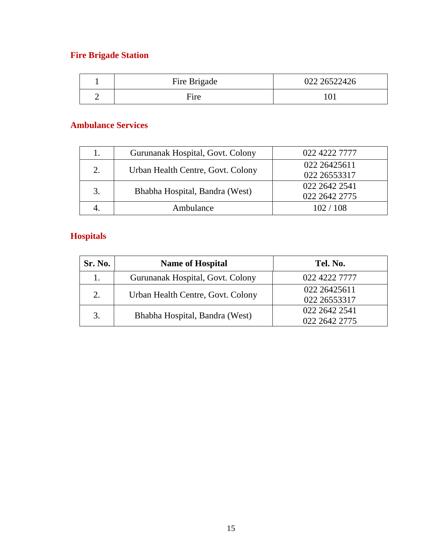# **Fire Brigade Station**

| Fire Brigade | 022 26522426 |
|--------------|--------------|
| Fire         |              |

# **Ambulance Services**

|    | Gurunanak Hospital, Govt. Colony  | 022 4222 7777 |
|----|-----------------------------------|---------------|
| 2. | Urban Health Centre, Govt. Colony | 022 26425611  |
|    |                                   | 022 26553317  |
| 3. | Bhabha Hospital, Bandra (West)    | 022 2642 2541 |
|    |                                   | 022 2642 2775 |
|    | Ambulance                         | 102/108       |

# **Hospitals**

| Sr. No. | <b>Name of Hospital</b>           | Tel. No.      |
|---------|-----------------------------------|---------------|
|         | Gurunanak Hospital, Govt. Colony  | 022 4222 7777 |
| 2.      | Urban Health Centre, Govt. Colony | 022 26425611  |
|         |                                   | 022 26553317  |
| 3.      |                                   | 022 2642 2541 |
|         | Bhabha Hospital, Bandra (West)    | 022 2642 2775 |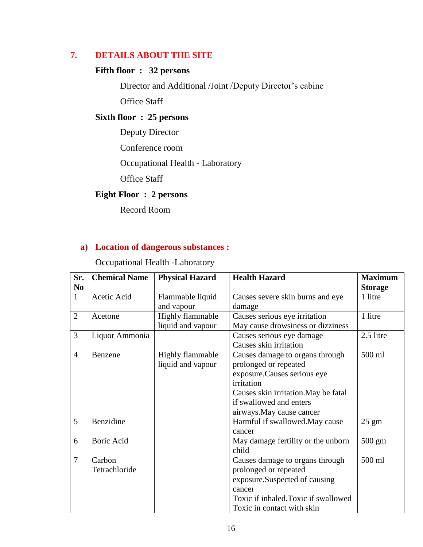# **7. DETAILS ABOUT THE SITE**

# **Fifth floor : 32 persons**

Director and Additional /Joint /Deputy Director's cabine Office Staff

### **Sixth floor : 25 persons**

Deputy Director

Conference room

Occupational Health - Laboratory

Office Staff

# **Eight Floor : 2 persons**

Record Room

## **a) Location of dangerous substances :**

Occupational Health -Laboratory

| Sr.            | <b>Chemical Name</b> | <b>Physical Hazard</b>  | <b>Health Hazard</b>                 | <b>Maximum</b>   |
|----------------|----------------------|-------------------------|--------------------------------------|------------------|
| N <sub>0</sub> |                      |                         |                                      | <b>Storage</b>   |
| $\mathbf{1}$   | Acetic Acid          | Flammable liquid        | Causes severe skin burns and eye     | 1 litre          |
|                |                      | and vapour              | damage                               |                  |
| $\overline{2}$ | Acetone              | Highly flammable        | Causes serious eye irritation        | 1 litre          |
|                |                      | liquid and vapour       | May cause drowsiness or dizziness    |                  |
| 3              | Liquor Ammonia       |                         | Causes serious eye damage            | 2.5 litre        |
|                |                      |                         | Causes skin irritation               |                  |
| $\overline{4}$ | Benzene              | <b>Highly flammable</b> | Causes damage to organs through      | 500 ml           |
|                |                      | liquid and vapour       | prolonged or repeated                |                  |
|                |                      |                         | exposure. Causes serious eye         |                  |
|                |                      |                         | irritation                           |                  |
|                |                      |                         | Causes skin irritation. May be fatal |                  |
|                |                      |                         | if swallowed and enters              |                  |
|                |                      |                         | airways. May cause cancer            |                  |
| 5              | Benzidine            |                         | Harmful if swallowed. May cause      | $25 \text{ gm}$  |
|                |                      |                         | cancer                               |                  |
| 6              | <b>Boric Acid</b>    |                         | May damage fertility or the unborn   | $500 \text{ gm}$ |
|                |                      |                         | child                                |                  |
| 7              | Carbon               |                         | Causes damage to organs through      | 500 ml           |
|                | Tetrachloride        |                         | prolonged or repeated                |                  |
|                |                      |                         | exposure.Suspected of causing        |                  |
|                |                      |                         | cancer                               |                  |
|                |                      |                         | Toxic if inhaled. Toxic if swallowed |                  |
|                |                      |                         | Toxic in contact with skin           |                  |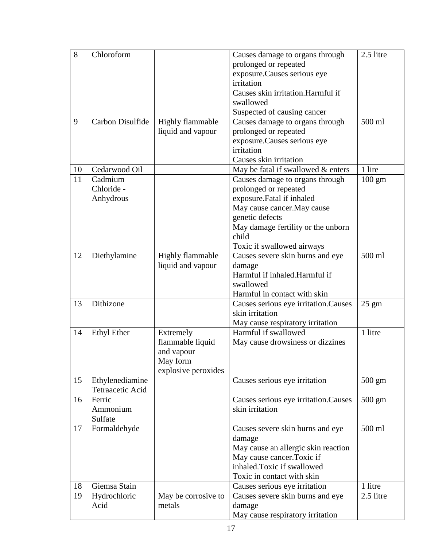| 8  | Chloroform         |                                              | Causes damage to organs through<br>prolonged or repeated<br>exposure. Causes serious eye<br>irritation<br>Causes skin irritation. Harmful if<br>swallowed<br>Suspected of causing cancer | 2.5 litre        |
|----|--------------------|----------------------------------------------|------------------------------------------------------------------------------------------------------------------------------------------------------------------------------------------|------------------|
| 9  | Carbon Disulfide   | <b>Highly flammable</b><br>liquid and vapour | Causes damage to organs through<br>prolonged or repeated                                                                                                                                 | 500 ml           |
|    |                    |                                              | exposure. Causes serious eye                                                                                                                                                             |                  |
|    |                    |                                              | irritation<br>Causes skin irritation                                                                                                                                                     |                  |
| 10 | Cedarwood Oil      |                                              | May be fatal if swallowed & enters                                                                                                                                                       | 1 lire           |
| 11 | Cadmium            |                                              | Causes damage to organs through                                                                                                                                                          | $100 \text{ gm}$ |
|    | Chloride -         |                                              | prolonged or repeated                                                                                                                                                                    |                  |
|    | Anhydrous          |                                              | exposure.Fatal if inhaled                                                                                                                                                                |                  |
|    |                    |                                              | May cause cancer. May cause                                                                                                                                                              |                  |
|    |                    |                                              | genetic defects                                                                                                                                                                          |                  |
|    |                    |                                              | May damage fertility or the unborn                                                                                                                                                       |                  |
|    |                    |                                              | child<br>Toxic if swallowed airways                                                                                                                                                      |                  |
| 12 | Diethylamine       | <b>Highly flammable</b>                      | Causes severe skin burns and eye                                                                                                                                                         | 500 ml           |
|    |                    | liquid and vapour                            | damage                                                                                                                                                                                   |                  |
|    |                    |                                              | Harmful if inhaled.Harmful if                                                                                                                                                            |                  |
|    |                    |                                              | swallowed                                                                                                                                                                                |                  |
|    |                    |                                              | Harmful in contact with skin                                                                                                                                                             |                  |
| 13 | Dithizone          |                                              | Causes serious eye irritation.Causes                                                                                                                                                     | $25 \text{ gm}$  |
|    |                    |                                              | skin irritation                                                                                                                                                                          |                  |
|    |                    |                                              | May cause respiratory irritation                                                                                                                                                         |                  |
| 14 | <b>Ethyl Ether</b> | Extremely                                    | Harmful if swallowed                                                                                                                                                                     | 1 litre          |
|    |                    | flammable liquid                             | May cause drowsiness or dizzines                                                                                                                                                         |                  |
|    |                    | and vapour<br>May form                       |                                                                                                                                                                                          |                  |
|    |                    | explosive peroxides                          |                                                                                                                                                                                          |                  |
| 15 | Ethylenediamine    |                                              | Causes serious eye irritation                                                                                                                                                            | $500 \text{ gm}$ |
|    | Tetraacetic Acid   |                                              |                                                                                                                                                                                          |                  |
| 16 | Ferric             |                                              | Causes serious eye irritation.Causes                                                                                                                                                     | 500 gm           |
|    | Ammonium           |                                              | skin irritation                                                                                                                                                                          |                  |
|    | Sulfate            |                                              |                                                                                                                                                                                          |                  |
| 17 | Formaldehyde       |                                              | Causes severe skin burns and eye                                                                                                                                                         | 500 ml           |
|    |                    |                                              | damage                                                                                                                                                                                   |                  |
|    |                    |                                              | May cause an allergic skin reaction<br>May cause cancer. Toxic if                                                                                                                        |                  |
|    |                    |                                              | inhaled.Toxic if swallowed                                                                                                                                                               |                  |
|    |                    |                                              | Toxic in contact with skin                                                                                                                                                               |                  |
| 18 | Giemsa Stain       |                                              | Causes serious eye irritation                                                                                                                                                            | 1 litre          |
| 19 | Hydrochloric       | May be corrosive to                          | Causes severe skin burns and eye                                                                                                                                                         | 2.5 litre        |
|    | Acid               | metals                                       | damage                                                                                                                                                                                   |                  |
|    |                    |                                              | May cause respiratory irritation                                                                                                                                                         |                  |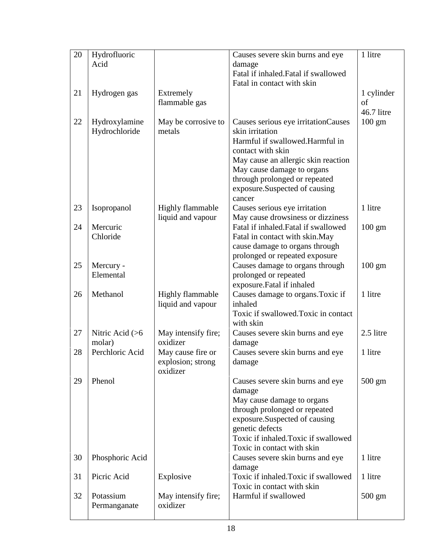| 20 | Hydrofluoric              |                                 | Causes severe skin burns and eye                                          | 1 litre          |
|----|---------------------------|---------------------------------|---------------------------------------------------------------------------|------------------|
|    | Acid                      |                                 | damage                                                                    |                  |
|    |                           |                                 | Fatal if inhaled. Fatal if swallowed<br>Fatal in contact with skin        |                  |
| 21 | Hydrogen gas              | Extremely                       |                                                                           | 1 cylinder       |
|    |                           | flammable gas                   |                                                                           | of               |
|    |                           |                                 |                                                                           | 46.7 litre       |
| 22 | Hydroxylamine             | May be corrosive to             | Causes serious eye irritationCauses                                       | $100 \text{ gm}$ |
|    | Hydrochloride             | metals                          | skin irritation                                                           |                  |
|    |                           |                                 | Harmful if swallowed.Harmful in                                           |                  |
|    |                           |                                 | contact with skin                                                         |                  |
|    |                           |                                 | May cause an allergic skin reaction                                       |                  |
|    |                           |                                 | May cause damage to organs                                                |                  |
|    |                           |                                 | through prolonged or repeated                                             |                  |
|    |                           |                                 | exposure.Suspected of causing                                             |                  |
|    |                           |                                 | cancer                                                                    |                  |
| 23 | Isopropanol               | <b>Highly flammable</b>         | Causes serious eye irritation                                             | 1 litre          |
| 24 | Mercuric                  | liquid and vapour               | May cause drowsiness or dizziness<br>Fatal if inhaled. Fatal if swallowed |                  |
|    | Chloride                  |                                 | Fatal in contact with skin.May                                            | $100 \text{ gm}$ |
|    |                           |                                 | cause damage to organs through                                            |                  |
|    |                           |                                 | prolonged or repeated exposure                                            |                  |
| 25 | Mercury -                 |                                 | Causes damage to organs through                                           | $100 \text{ gm}$ |
|    | Elemental                 |                                 | prolonged or repeated                                                     |                  |
|    |                           |                                 | exposure.Fatal if inhaled                                                 |                  |
| 26 | Methanol                  | Highly flammable                | Causes damage to organs. Toxic if                                         | 1 litre          |
|    |                           | liquid and vapour               | inhaled                                                                   |                  |
|    |                           |                                 | Toxic if swallowed. Toxic in contact                                      |                  |
|    |                           |                                 | with skin                                                                 |                  |
| 27 | Nitric Acid $(>6$         | May intensify fire;<br>oxidizer | Causes severe skin burns and eye                                          | 2.5 litre        |
| 28 | molar)<br>Perchloric Acid | May cause fire or               | damage<br>Causes severe skin burns and eye                                | 1 litre          |
|    |                           | explosion; strong               | damage                                                                    |                  |
|    |                           | oxidizer                        |                                                                           |                  |
| 29 | Phenol                    |                                 | Causes severe skin burns and eye                                          | $500 \text{ gm}$ |
|    |                           |                                 | damage                                                                    |                  |
|    |                           |                                 | May cause damage to organs                                                |                  |
|    |                           |                                 | through prolonged or repeated                                             |                  |
|    |                           |                                 | exposure.Suspected of causing                                             |                  |
|    |                           |                                 | genetic defects                                                           |                  |
|    |                           |                                 | Toxic if inhaled. Toxic if swallowed                                      |                  |
|    |                           |                                 | Toxic in contact with skin                                                |                  |
| 30 | Phosphoric Acid           |                                 | Causes severe skin burns and eye                                          | 1 litre          |
| 31 | Picric Acid               | Explosive                       | damage<br>Toxic if inhaled. Toxic if swallowed                            | 1 litre          |
|    |                           |                                 | Toxic in contact with skin                                                |                  |
| 32 | Potassium                 | May intensify fire;             | Harmful if swallowed                                                      | $500 \text{ gm}$ |
|    | Permanganate              | oxidizer                        |                                                                           |                  |
|    |                           |                                 |                                                                           |                  |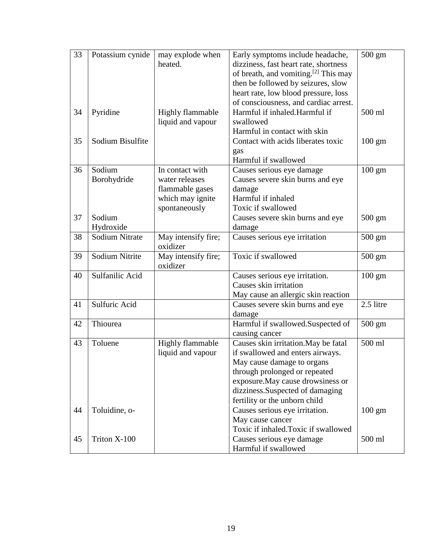| 33 | Potassium cynide      | may explode when<br>heated.                                                               | Early symptoms include headache,<br>dizziness, fast heart rate, shortness<br>of breath, and vomiting. <sup>[2]</sup> This may<br>then be followed by seizures, slow<br>heart rate, low blood pressure, loss<br>of consciousness, and cardiac arrest. | 500 gm           |
|----|-----------------------|-------------------------------------------------------------------------------------------|------------------------------------------------------------------------------------------------------------------------------------------------------------------------------------------------------------------------------------------------------|------------------|
| 34 | Pyridine              | <b>Highly flammable</b><br>liquid and vapour                                              | Harmful if inhaled.Harmful if<br>swallowed                                                                                                                                                                                                           | 500 ml           |
| 35 | Sodium Bisulfite      |                                                                                           | Harmful in contact with skin<br>Contact with acids liberates toxic<br>gas<br>Harmful if swallowed                                                                                                                                                    | $100 \text{ gm}$ |
| 36 | Sodium<br>Borohydride | In contact with<br>water releases<br>flammable gases<br>which may ignite<br>spontaneously | Causes serious eye damage<br>Causes severe skin burns and eye<br>damage<br>Harmful if inhaled<br>Toxic if swallowed                                                                                                                                  | $100 \text{ gm}$ |
| 37 | Sodium<br>Hydroxide   |                                                                                           | Causes severe skin burns and eye<br>damage                                                                                                                                                                                                           | $500 \text{ gm}$ |
| 38 | <b>Sodium Nitrate</b> | May intensify fire;<br>oxidizer                                                           | Causes serious eye irritation                                                                                                                                                                                                                        | $500 \text{ gm}$ |
| 39 | Sodium Nitrite        | May intensify fire;<br>oxidizer                                                           | Toxic if swallowed                                                                                                                                                                                                                                   | 500 gm           |
| 40 | Sulfanilic Acid       |                                                                                           | Causes serious eye irritation.<br>Causes skin irritation<br>May cause an allergic skin reaction                                                                                                                                                      | $100 \text{ gm}$ |
| 41 | Sulfuric Acid         |                                                                                           | Causes severe skin burns and eye<br>damage                                                                                                                                                                                                           | 2.5 litre        |
| 42 | Thiourea              |                                                                                           | Harmful if swallowed.Suspected of<br>causing cancer                                                                                                                                                                                                  | $500 \text{ gm}$ |
| 43 | Toluene               | Highly flammable<br>liquid and vapour                                                     | Causes skin irritation. May be fatal<br>if swallowed and enters airways.<br>May cause damage to organs<br>through prolonged or repeated<br>exposure. May cause drowsiness or<br>dizziness.Suspected of damaging<br>fertility or the unborn child     | 500 ml           |
| 44 | Toluidine, o-         |                                                                                           | Causes serious eye irritation.<br>May cause cancer<br>Toxic if inhaled.Toxic if swallowed                                                                                                                                                            | $100 \text{ gm}$ |
| 45 | Triton X-100          |                                                                                           | Causes serious eye damage<br>Harmful if swallowed                                                                                                                                                                                                    | 500 ml           |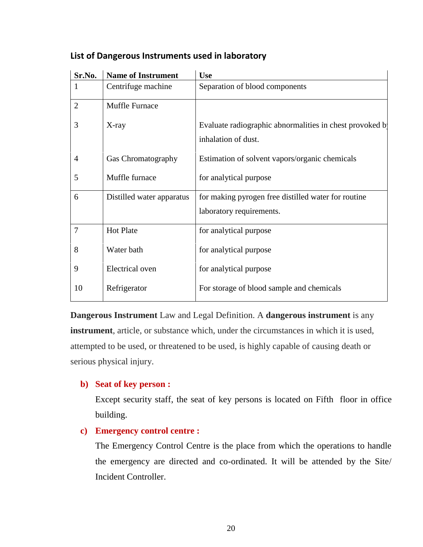| Sr.No.         | <b>Name of Instrument</b> | <b>Use</b>                                               |
|----------------|---------------------------|----------------------------------------------------------|
| 1              | Centrifuge machine        | Separation of blood components                           |
| $\overline{2}$ | Muffle Furnace            |                                                          |
| 3              | X-ray                     | Evaluate radiographic abnormalities in chest provoked by |
|                |                           | inhalation of dust.                                      |
| $\overline{4}$ | Gas Chromatography        | Estimation of solvent vapors/organic chemicals           |
| 5              | Muffle furnace            | for analytical purpose                                   |
| 6              | Distilled water apparatus | for making pyrogen free distilled water for routine      |
|                |                           | laboratory requirements.                                 |
| $\overline{7}$ | <b>Hot Plate</b>          | for analytical purpose                                   |
| 8              | Water bath                | for analytical purpose                                   |
| 9              | Electrical oven           | for analytical purpose                                   |
| 10             | Refrigerator              | For storage of blood sample and chemicals                |

### **List of Dangerous Instruments used in laboratory**

**Dangerous Instrument** Law and Legal Definition. A **dangerous instrument** is any **instrument**, article, or substance which, under the circumstances in which it is used, attempted to be used, or threatened to be used, is highly capable of causing death or serious physical injury.

### **b) Seat of key person :**

Except security staff, the seat of key persons is located on Fifth floor in office building.

### **c) Emergency control centre :**

The Emergency Control Centre is the place from which the operations to handle the emergency are directed and co-ordinated. It will be attended by the Site/ Incident Controller.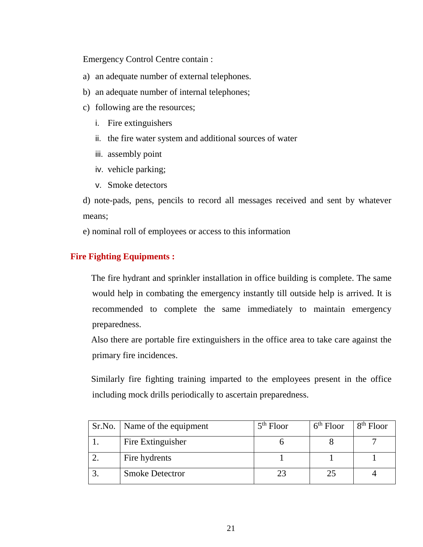Emergency Control Centre contain :

- a) an adequate number of external telephones.
- b) an adequate number of internal telephones;
- c) following are the resources;
	- i. Fire extinguishers
	- ii. the fire water system and additional sources of water
	- iii. assembly point
	- iv. vehicle parking;
	- v. Smoke detectors

d) note-pads, pens, pencils to record all messages received and sent by whatever means;

e) nominal roll of employees or access to this information

### **Fire Fighting Equipments :**

The fire hydrant and sprinkler installation in office building is complete. The same would help in combating the emergency instantly till outside help is arrived. It is recommended to complete the same immediately to maintain emergency preparedness.

Also there are portable fire extinguishers in the office area to take care against the primary fire incidences.

Similarly fire fighting training imparted to the employees present in the office including mock drills periodically to ascertain preparedness.

| Sr.No.   Name of the equipment | $5th$ Floor | $6th$ Floor | $8th$ Floor |
|--------------------------------|-------------|-------------|-------------|
| Fire Extinguisher              |             |             |             |
| Fire hydrents                  |             |             |             |
| <b>Smoke Detectror</b>         |             |             |             |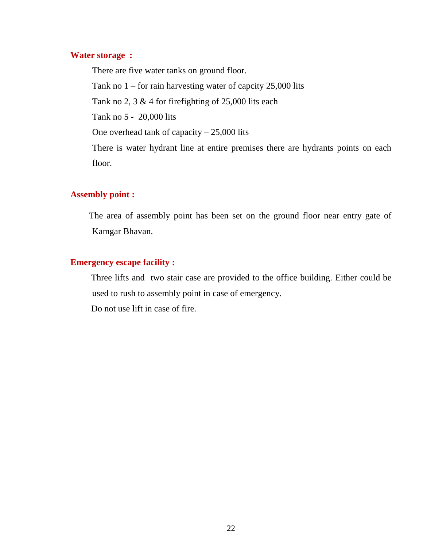### **Water storage :**

There are five water tanks on ground floor. Tank no 1 – for rain harvesting water of capcity 25,000 lits Tank no 2, 3 & 4 for firefighting of 25,000 lits each Tank no 5 - 20,000 lits One overhead tank of capacity – 25,000 lits There is water hydrant line at entire premises there are hydrants points on each floor.

### **Assembly point :**

The area of assembly point has been set on the ground floor near entry gate of Kamgar Bhavan.

### **Emergency escape facility :**

Three lifts and two stair case are provided to the office building. Either could be used to rush to assembly point in case of emergency.

Do not use lift in case of fire.